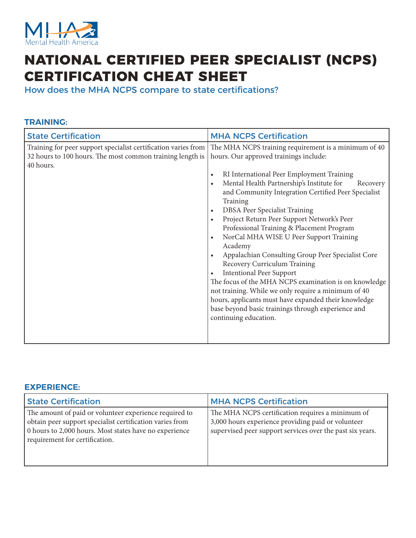

# **NATIONAL CERTIFIED PEER SPECIALIST (NCPS) CERTIFICATION CHEAT SHEET**

How does the MHA NCPS compare to state certifications?

#### **TRAINING:**

| <b>State Certification</b>                                                                                                               | <b>MHA NCPS Certification</b>                                                                                                                                                                                                                                                                                                                                                                                                                                                                                                                                                                                                                                                                                                                                                                                                                                                   |
|------------------------------------------------------------------------------------------------------------------------------------------|---------------------------------------------------------------------------------------------------------------------------------------------------------------------------------------------------------------------------------------------------------------------------------------------------------------------------------------------------------------------------------------------------------------------------------------------------------------------------------------------------------------------------------------------------------------------------------------------------------------------------------------------------------------------------------------------------------------------------------------------------------------------------------------------------------------------------------------------------------------------------------|
| Training for peer support specialist certification varies from<br>32 hours to 100 hours. The most common training length is<br>40 hours. | The MHA NCPS training requirement is a minimum of 40<br>hours. Our approved trainings include:<br>RI International Peer Employment Training<br>$\bullet$<br>Mental Health Partnership's Institute for<br>Recovery<br>and Community Integration Certified Peer Specialist<br>Training<br>DBSA Peer Specialist Training<br>$\bullet$<br>Project Return Peer Support Network's Peer<br>Professional Training & Placement Program<br>NorCal MHA WISE U Peer Support Training<br>$\bullet$<br>Academy<br>Appalachian Consulting Group Peer Specialist Core<br>Recovery Curriculum Training<br><b>Intentional Peer Support</b><br>The focus of the MHA NCPS examination is on knowledge<br>not training. While we only require a minimum of 40<br>hours, applicants must have expanded their knowledge<br>base beyond basic trainings through experience and<br>continuing education. |

#### **EXPERIENCE:**

| <b>State Certification</b>                                                                                                                                                                                     | <b>MHA NCPS Certification</b>                                                                                                                                       |
|----------------------------------------------------------------------------------------------------------------------------------------------------------------------------------------------------------------|---------------------------------------------------------------------------------------------------------------------------------------------------------------------|
| The amount of paid or volunteer experience required to<br>obtain peer support specialist certification varies from<br>0 hours to 2,000 hours. Most states have no experience<br>requirement for certification. | The MHA NCPS certification requires a minimum of<br>3,000 hours experience providing paid or volunteer<br>supervised peer support services over the past six years. |